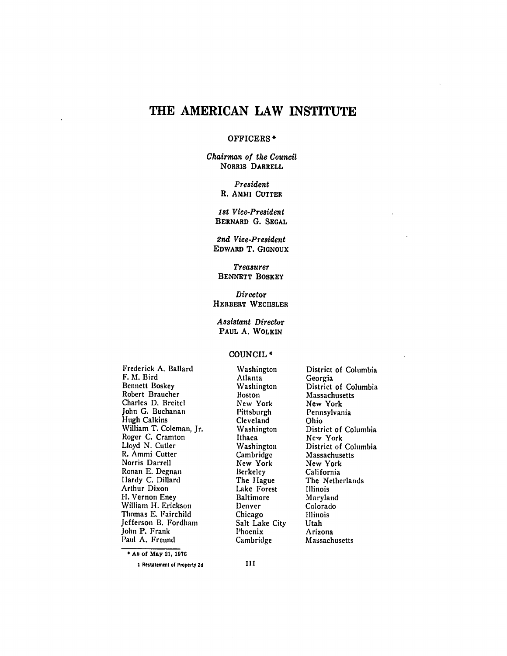# **THE AMERICAN LAW INSTITUTE**

### OFFICERS **\***

*Chairman of the Council* NORRIS **DARRELL**

> *President* R. AMMI **CUTTER**

*1st Vice-President* **BERNARD G. SEGAL**

*2nd Vice-Preaident* **EDWARD** T. **GIGNOUX**

Treasurer **BENNETT** BOSKEY

*Director* **HERBERT WECHSLER** 

*Assistant Directur* **PAUL A.** WOLKIN

### **COUNCIL \***

Frederick A. Ballard F. **M.** Bird Bennett Boskey Robert Braucher Charles **D.** Breitel John **G.** Buchanan Hugh Calkins William T. Coleman, Jr. Roger **C.** Cramton Lloyd **N.** Cutler R. Ammi Cutter Norris Darrell Ronan **E.** Degnan Hardy **C.** Dillard Arthur Dixon **11.** Vernon Eney William **H.** Erickson Thomas **E.** Fairchild Jefferson B. Fordham John P. Frank Paul **A.** Freund

Washington Atlanta Washington Boston New York Pittsburgh Cleveland Washington Ithaca Washington Cambridge New York Berkeley The Hague Lake Forest Baltimore Denver Chicago Salt Lake City Phoenix Cambridge

District of Columbia Georgia District of Columbia Massachusetts New York Pennsylvania Ohio District of Columbia New York District of Columbia Massachusetts **New** York California The Netherlands Illinois Maryland Colorado Illinois Utah Arizona Massachusetts

**As of May 21, 1976**

**1 Restatement of Property 2d**

Ш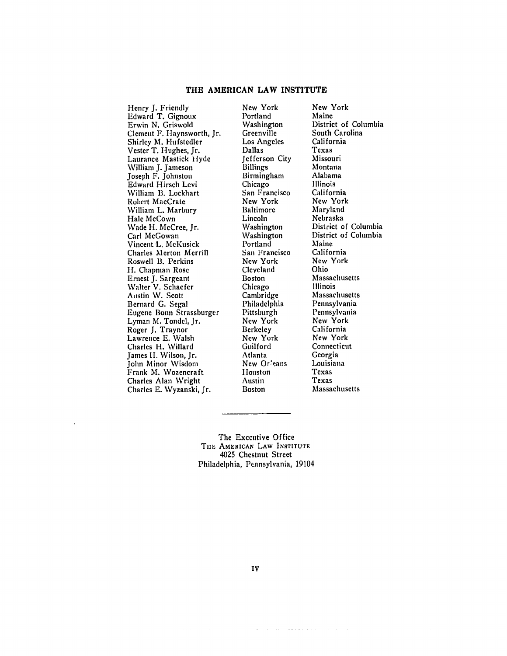#### **THE AMERICAN LAW INSTITUTE**

Henry **J.** Friendly Edward T. Gignoux Erwin N. Griswold Clement F. Haynsworth, Jr. Shirley M. Hufstedler Vester T. Hughes, Jr. Laurance Mastick *Hyde* William J. Jameson Joseph F. Johnston Edward Hirsch Levi William B. Lockhart Robert MacCrate William L. Marbury Hale McCown Wade H. McCree, Jr. Carl McGowan Vincent L. McKusick Charles Merton Merrill Roswell B. Perkins **I.** Chapman Rose Ernest J. Sargeant Walter V. Schaefer Austin W. Scott Bernard G. Segal Eugene Bonn Strassburger Lyman M. Tondel, Jr. Roger J. Traynor Lawrence E. Walsh Charles H. Willard James H. Wilson, Jr. John Minor Wisdom Frank M. Wozencraft Charles Alan Wright Charles E. Wyzanski, Jr.

New York Portland Washington Greenville Los Angeles Dallas Jefferson City **Billings** Birmingham **Chicago** San Francisco New York Baltimore Lincoln Washington Washington Portland San Francisco New York Cleveland Boston Chicago Cambridge Philadelphia Pittsburgh New York Berkeley New York Guilford Atlanta New Or'eans Houston Austin Boston

New York Maine District of Columbia South Carolina California Texas Missouri Montana Alabama Illinois California New York Maryland Nebraska District of Columbia District of Columbia Maine California New York Ohio Massachusetts Illinois Massachusetts Pennsylvania Pennsylvania New York California New York Connecticut Georgia Louisiana Texas Texas Massachusetts

The Executive Office **THE AMERICAN** LAW **INSTITUTE** 4025 Chestnut Street Philadelphia, Pennsylvania, 19104

IV